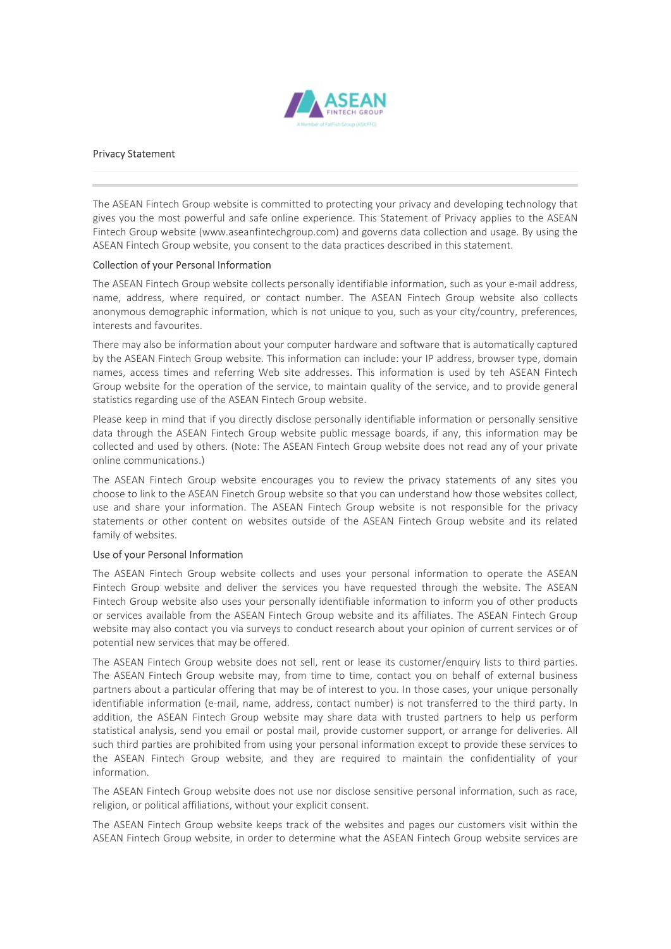

Privacy Statement<br>
Privacy Statement<br>
Privacy Statement<br>
The ASEAN Fintech Group website is committed to protecting your privacy and developing<br>
The ASEAN Fintech Group website (www.aseanfintechgroup.com) and governs data **The ASEAN Fintech Group website is committed to protecting your privacy and developing technology that<br>gives you the most powerful and safe online experience. This Statement of Privacy applies to the ASEAN<br>Fintech Group w FINACY Statement**<br>The ASEAN Fintech Group website is committed to protecting your privacy and developing technology that<br>The ASEAN Fintech Group website (www.aseanfintechgroup.com) and governs data collection and usage. B Findery Statement<br>Findery Statement<br>The ASEAN Fintech Group website is committed to protecting your privacy and developing technology that<br>gives you the most powerful and safe online experience. This Statement of Privacy a **ASEAN Fintech Group website, is committed to protecting your privacy and developing technology that<br>The ASEAN Fintech Group website, is committed to protecting your privacy and developing technology that<br>Fintech Group web EXAMPLE ASSEAN**<br> **COLLECT ASSEMS**<br> **COLLECT ASSEMS**<br> **COLLECT ASSEMS**<br> **COLLECT ASSEMS**<br> **COLLECT ASSEMS**<br> **COLLECT ASSEMS**<br> **COLLECT ASSEMS**<br> **COLLECT ASSEMS**<br> **COLLECT ASSEMS**<br> **COLLECT ASSEMS**<br> **COLLECT ASSEMS**<br> **COLLE THE ASEAN Fintech Group website is committed to protecting your privacy and developing technology that<br>The ASEAN Fintech Group website is committed to protecting your privacy and developing technology that<br>Fintech Group w THE SEAN FINICE CONSTRANT PROCESS, Where required, or committed to protecting your privacy and developing technology that<br>The ASEAN Fintech Group website is committed to protecting your privacy and developing technology t** 

**EXEL ANON FINICE CONDUCT CONDUCT CONDUCT**<br> **ANONY**<br>
The ASEAN Fintech Group website is committed to protecting your privacy and developing technology that<br>
gives you the most powerful and safe online experience. This Stat **THE ASEAN FINITED ASSEM AND THE CONDUCT AND THE COLUMBATION CONDUCT AND THE ASEAN FINECT ASSEM THERE ASSEM FINECT FINITE SERVERT THE SEAM FINITED FINITED FINITED FINITED FINITED FINITED FINITED FINITED FINITED FINITED FIN THERE MANUSE CONDUCT THERE MANUSE CONDUCT CONDUCT CONDUCT CONDUCT THE MANUSE WARRENT (THE MANUSE WITHOUT ABOUT ABOUT ABOUT ABOUT A SURFAR STATING THE FIRST STATING THE STATING THE STATING SOFTWARE (WAVE ASSEAN FIRENT GROU Finday Statement**<br>
The ASEAN Fintech Group website is committed to protecting your privacy and developing technology that<br>
gives you the most powerful and safe online experience. This Statement of Privacy applies to the A **The ASEAN Fintech Group website is committed to protecting your privacy and developing technology that<br>The ASEAN Fintech Group website is committed to protecting your privacy and developing technology that<br>Fintech Group w Privacy Statement**<br>The ASEAN Finited from pwebsite is committed to protecting your privacy and developing technology that<br>The ASEAN Finited from your website is committed to protecting your privacy and developing technolo **Privacy Statement**<br>
The ASEAN Fintech Group website is committed to protecting your privacy and developing technology that<br>
The ASEAN Fintech Group website. (www.assentifintechgroup.com) and governs data collection and us **Privacy Statement**<br>
The ASEAN Fintech Group website is committed to protecting your privacy and developing technology that<br>
The SEAN Fintech Group website laww.assanfinitechgroup.com) and governs data collection and usage **Privacy Statement**<br>The ASEAN Fintech Group website is committed to protecting your privacy and developing technology that<br>gives you the most powerful and safe online experience. This Statement of Privacy applies to the AS The ASEAN Fintech Group website is committed to protecting your privacy and developing technology that<br>gives you the most powerful and safe colline experience. This Statement of Privacy agplies to the ASEAN<br>Fintech Group w

The ASEAN Fintech Group website is committed to protecting your privacy and developigly<br>ex you the most powerful and safe online experience. This Statement of Privacy applifies<br>the Society method Group website (www.aseanfi The ASEAN Fintech Group website is committed to protecting vour privacy and developing technology that<br>pives you the most powerful and safe online experience. This Shatement of Privacy applies to the ASEAN<br>Fintech Group we gives you the most powerful and safe online experience. This Statement of Privay applies to the ASEAN Finded Finetch Group website, you consent to the data practices described in this statement.<br>Collection of your Personal Fintech Group website (www.aseanfintechgroup.com) and governs data collection and usage. By using the SSEAN Fintech Group website, you consent to the data practices described in this statement.<br>The ASEAN Fintech Group webs ASEAN Fintech Group website, you consent to the data practices described in this statement.<br>Chleethon of your Personal Information<br>The ASEAN Fintech Group website collects personally identifiable information, such as your **Collection of your Personal Information**<br>The ASEAN Fintech Group website collects personally identifiable information, such as you<br>name, address, where required, or contact number. The ASEAN Fintech Group websine<br>namey ad

The ASEAN Fintech Group website collects personally identifiable information, such as your e-mail add<br>name, address, where required, or contact number. The ASEAN Fintech Group website also col<br>anonymous demographic informa name, address, where required, or contact number. The ASEAN Fintech Group website also collects anonymous demographic information, which is not unique to you, such as your city/country, preferences, interests and lavourite anonymous demographic information, which is not unique to you, such as your city/country, preferences, interests and forwartests and convirtes.<br>There may also be information about your computer hardware and software that i interests and favourites.<br>
There may also be information about your computer hardware and software that is automatically captured<br>
thy the ASEAN Fintech Group website. This information can include: your IP address, browser There may also be information about your computer hardware and software that is automatically captured<br>by the ASEAN Fintech Group website. This information can include: your IP address, brewser type, domain<br>parmes, access Inter may uso to microfitantin doctury that the may also contact a may solve at the survey in the may also contact the may also contact that the service, to main for the service, to main for the service for the operation o by the AsseAN rine to the other in mindle and the streamed that makes the streamed the space of the service, and the mass, access times and referring Web site addresses. This information is used by teh ASEAN Fintech Group

Group website for the operation of the service, to maintain quality of the service, and to provide general<br>statistics regarding use of the ASEAN Fintech Group website. The presence of the ASEAN Fintech Group website inform statistics regarding use of the ASEAN Fintech Group website.<br>Please keep in mind that if you directly disclose personally identifiable information or personally sensitive<br>data khrough the ASEAN Fintech Group website public Please keep in mind that if you directly disclose personally identifiable information or personally sensitive<br>data through the ASEAN FiniteD Group website public message boosts, if any, this information may be<br>collected an reasse keep in through the third to you streated vactose peach and you see the continual or pensoning venture of the ASEAN Finderbic coup website chemation or pensoning venture of the ASEAN Finderbic ordinary of your priva unau mrouple inter Assem wenter unduly website public may be a micromation may our share that the ASEAN Fintech Group website does not read any of your private public colleted and used by others. (Note: The ASEAN Fintech G Collected and used by Omer Statistical analysis, through we are required to maintain the confligencial material material material or positive conserved blink to the ASEAN Finitech Group website encourages you to review the mine commissions.<br>The ASEAN Finitedh Group website encourages you to review the privacy statements of any sites you<br>choose to link to the ASEAN Finetch Group website so that you can understand how those websites collect,<br>u The ASEAN Fintech Group website concurges you to review the privacy statements of any sites you to review the most<br>statements of any sites your states and that they are related to make they are related to the privacy state information. une am anare your miormature. The ASEAN Fintech Group website is not responsed to the ASEAN Fintech Group website does that the state of the ASEAN Fintech Group website and its related family of websites.<br>
The ASEAN Fintec statements of toure content of websites outside of the explicit many every entroid is the sectement of the mass of the state. Use of your Personal information to operate the ASEAN Finitech Group website. The ASEAN Finitech Use of your Personal Information<br>The ASEAN Fintech Group website collects and uses your personal information to operate the ASEAN<br>Fintech Group website and deleiver the services you have requested through the website. The One of the ASEAN Fintech Group website, online to determine what the ASEAN Fintech Group website, and deliver the services you have requested through the website. The ASEAN Fintech Group website and deliver the services yo